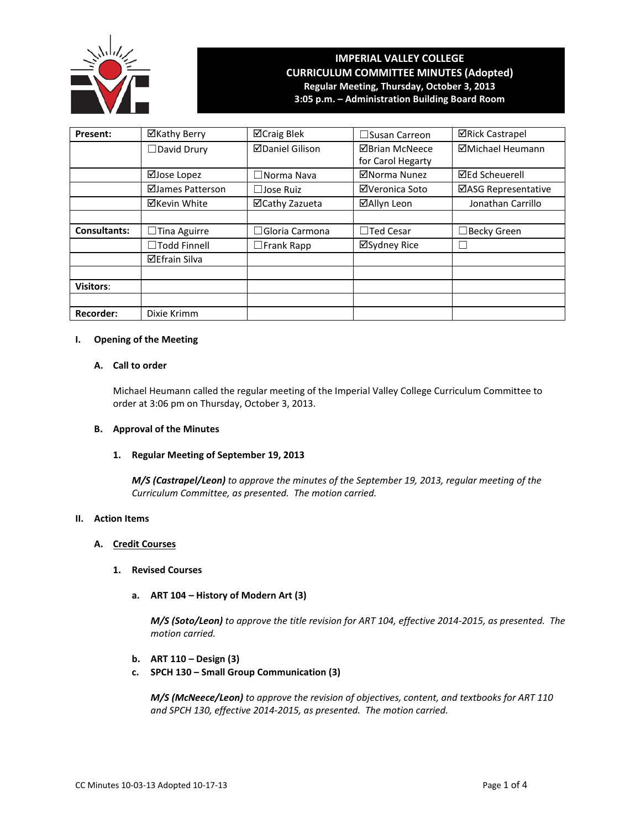

# **IMPERIAL VALLEY COLLEGE CURRICULUM COMMITTEE MINUTES (Adopted) Regular Meeting, Thursday, October 3, 2013 3:05 p.m. – Administration Building Board Room**

**Present:** │ ⊠Kathy Berry │ ⊠Craig Blek │ □Susan Carreon │ ⊠Rick Castrapel □David Drury | ØDaniel Gilison | ØBrian McNeece for Carol Hegarty Michael Heumann **ØJose Lopez** │ □Norma Nava │ ØNorma Nunez │ ØEd Scheuerell **ØJames Patterson** │ □Jose Ruiz │ ØVeronica Soto │ ØASG Representative ⊠Kevin White | ⊠Cathy Zazueta | ⊠Allyn Leon | Jonathan Carrillo **Consultants:** │ □Tina Aguirre │ □Gloria Carmona │ □Ted Cesar │ □Becky Green ☐Todd Finnell ☐Frank Rapp Sydney Rice ☐ Efrain Silva **Visitors**: **Recorder:** | Dixie Krimm

# **I. Opening of the Meeting**

# **A. Call to order**

Michael Heumann called the regular meeting of the Imperial Valley College Curriculum Committee to order at 3:06 pm on Thursday, October 3, 2013.

### **B. Approval of the Minutes**

### **1. Regular Meeting of September 19, 2013**

*M/S (Castrapel/Leon) to approve the minutes of the September 19, 2013, regular meeting of the Curriculum Committee, as presented. The motion carried.*

## **II. Action Items**

# **A. Credit Courses**

- **1. Revised Courses**
	- **a. ART 104 – History of Modern Art (3)**

*M/S (Soto/Leon) to approve the title revision for ART 104, effective 2014-2015, as presented. The motion carried.*

- **b. ART 110 – Design (3)**
- **c. SPCH 130 – Small Group Communication (3)**

*M/S (McNeece/Leon) to approve the revision of objectives, content, and textbooks for ART 110 and SPCH 130, effective 2014-2015, as presented. The motion carried.*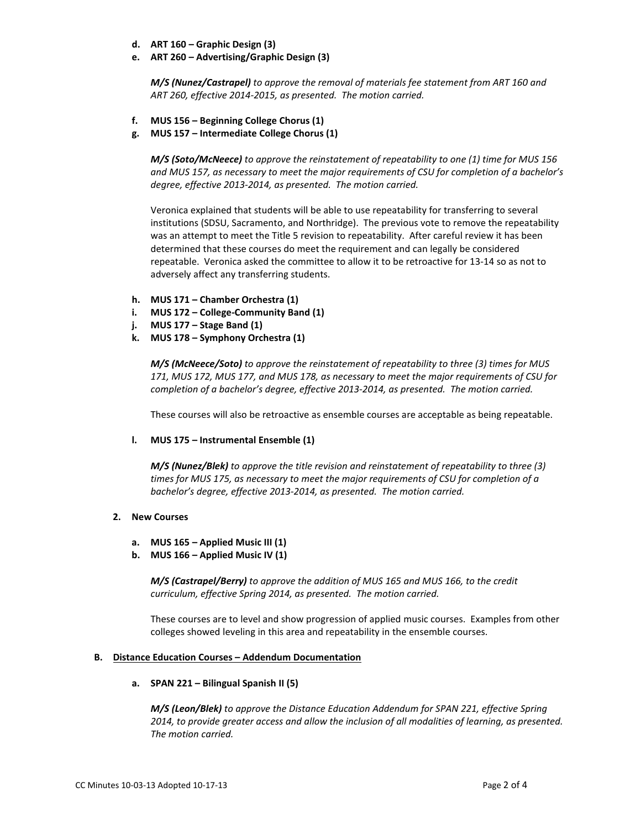- **d. ART 160 – Graphic Design (3)**
- **e. ART 260 – Advertising/Graphic Design (3)**

*M/S (Nunez/Castrapel) to approve the removal of materials fee statement from ART 160 and ART 260, effective 2014-2015, as presented. The motion carried.*

- **f. MUS 156 – Beginning College Chorus (1)**
- **g. MUS 157 – Intermediate College Chorus (1)**

*M/S (Soto/McNeece) to approve the reinstatement of repeatability to one (1) time for MUS 156 and MUS 157, as necessary to meet the major requirements of CSU for completion of a bachelor's degree, effective 2013-2014, as presented. The motion carried.*

Veronica explained that students will be able to use repeatability for transferring to several institutions (SDSU, Sacramento, and Northridge). The previous vote to remove the repeatability was an attempt to meet the Title 5 revision to repeatability. After careful review it has been determined that these courses do meet the requirement and can legally be considered repeatable. Veronica asked the committee to allow it to be retroactive for 13-14 so as not to adversely affect any transferring students.

- **h. MUS 171 – Chamber Orchestra (1)**
- **i. MUS 172 – College-Community Band (1)**
- **j. MUS 177 – Stage Band (1)**
- **k. MUS 178 – Symphony Orchestra (1)**

*M/S (McNeece/Soto) to approve the reinstatement of repeatability to three (3) times for MUS 171, MUS 172, MUS 177, and MUS 178, as necessary to meet the major requirements of CSU for completion of a bachelor's degree, effective 2013-2014, as presented. The motion carried.* 

These courses will also be retroactive as ensemble courses are acceptable as being repeatable.

**l. MUS 175 – Instrumental Ensemble (1)**

*M/S (Nunez/Blek) to approve the title revision and reinstatement of repeatability to three (3) times for MUS 175, as necessary to meet the major requirements of CSU for completion of a bachelor's degree, effective 2013-2014, as presented. The motion carried.* 

## **2. New Courses**

- **a. MUS 165 – Applied Music III (1)**
- **b. MUS 166 – Applied Music IV (1)**

*M/S (Castrapel/Berry) to approve the addition of MUS 165 and MUS 166, to the credit curriculum, effective Spring 2014, as presented. The motion carried.* 

These courses are to level and show progression of applied music courses. Examples from other colleges showed leveling in this area and repeatability in the ensemble courses.

#### **B. Distance Education Courses – Addendum Documentation**

#### **a. SPAN 221 – Bilingual Spanish II (5)**

*M/S (Leon/Blek) to approve the Distance Education Addendum for SPAN 221, effective Spring 2014, to provide greater access and allow the inclusion of all modalities of learning, as presented. The motion carried.*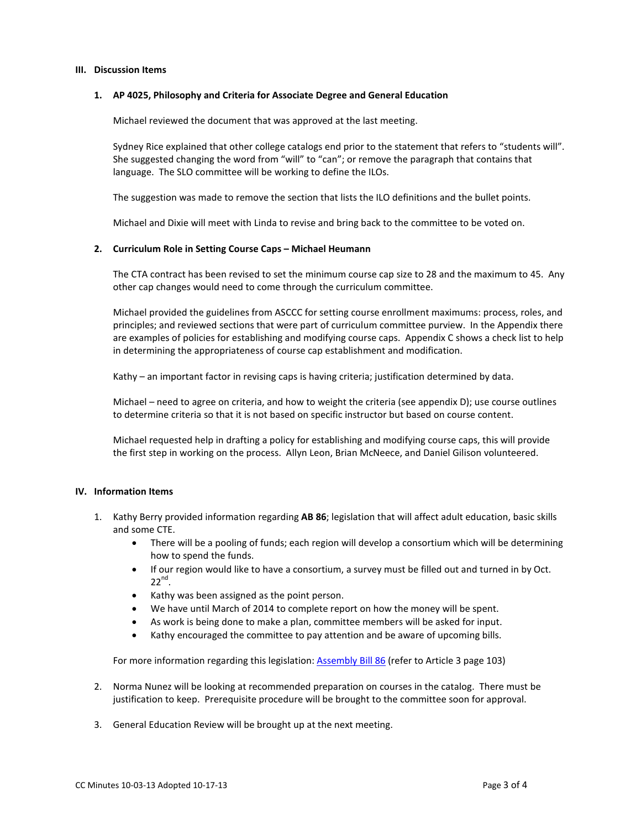#### **III. Discussion Items**

#### **1. AP 4025, Philosophy and Criteria for Associate Degree and General Education**

Michael reviewed the document that was approved at the last meeting.

Sydney Rice explained that other college catalogs end prior to the statement that refers to "students will". She suggested changing the word from "will" to "can"; or remove the paragraph that contains that language. The SLO committee will be working to define the ILOs.

The suggestion was made to remove the section that lists the ILO definitions and the bullet points.

Michael and Dixie will meet with Linda to revise and bring back to the committee to be voted on.

#### **2. Curriculum Role in Setting Course Caps – Michael Heumann**

The CTA contract has been revised to set the minimum course cap size to 28 and the maximum to 45. Any other cap changes would need to come through the curriculum committee.

Michael provided the guidelines from ASCCC for setting course enrollment maximums: process, roles, and principles; and reviewed sections that were part of curriculum committee purview. In the Appendix there are examples of policies for establishing and modifying course caps. Appendix C shows a check list to help in determining the appropriateness of course cap establishment and modification.

Kathy – an important factor in revising caps is having criteria; justification determined by data.

Michael – need to agree on criteria, and how to weight the criteria (see appendix D); use course outlines to determine criteria so that it is not based on specific instructor but based on course content.

Michael requested help in drafting a policy for establishing and modifying course caps, this will provide the first step in working on the process. Allyn Leon, Brian McNeece, and Daniel Gilison volunteered.

## **IV. Information Items**

- 1. Kathy Berry provided information regarding **AB 86**; legislation that will affect adult education, basic skills and some CTE.
	- There will be a pooling of funds; each region will develop a consortium which will be determining how to spend the funds.
	- If our region would like to have a consortium, a survey must be filled out and turned in by Oct.  $22^{nd}$ .
	- Kathy was been assigned as the point person.
	- We have until March of 2014 to complete report on how the money will be spent.
	- As work is being done to make a plan, committee members will be asked for input.
	- Kathy encouraged the committee to pay attention and be aware of upcoming bills.

For more information regarding this legislation: [Assembly Bill](http://www.leginfo.ca.gov/pub/13-14/bill/asm/ab_0051-0100/ab_86_bill_20130613_amended_sen_v98.pdf) 86 (refer to Article 3 page 103)

- 2. Norma Nunez will be looking at recommended preparation on courses in the catalog. There must be justification to keep. Prerequisite procedure will be brought to the committee soon for approval.
- 3. General Education Review will be brought up at the next meeting.